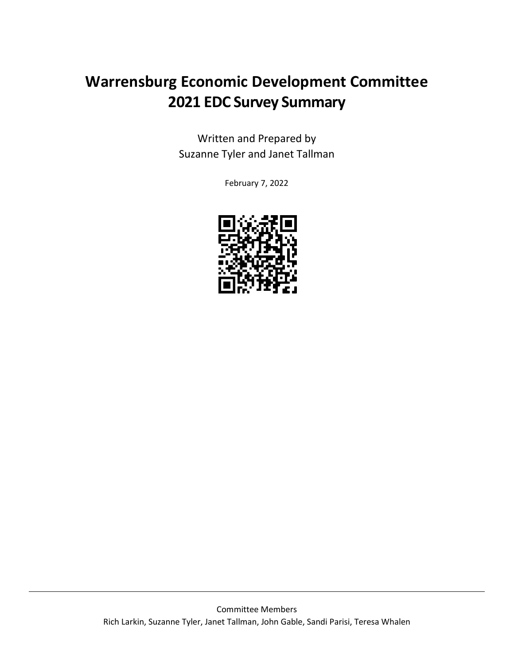## **Warrensburg Economic Development Committee 2021 EDC Survey Summary**

Written and Prepared by Suzanne Tyler and Janet Tallman

February 7, 2022

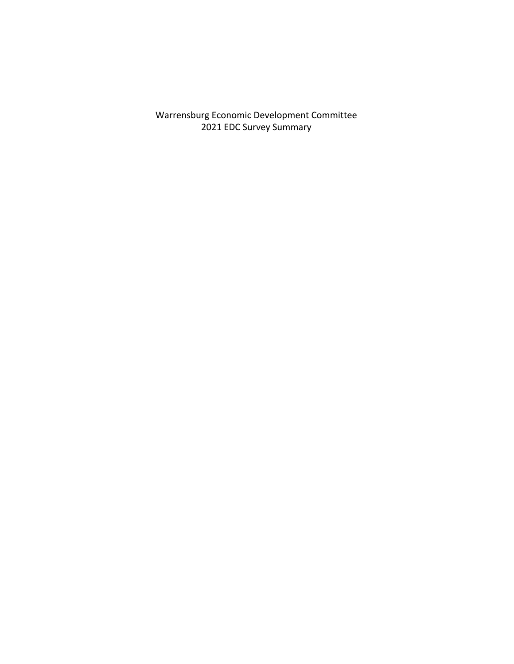Warrensburg Economic Development Committee 2021 EDC Survey Summary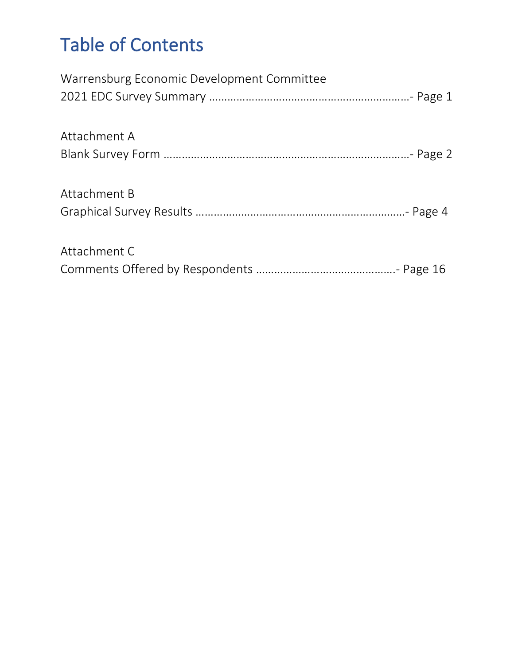# Table of Contents

| Warrensburg Economic Development Committee |
|--------------------------------------------|
|                                            |
|                                            |
| Attachment A                               |
|                                            |
| Attachment B                               |
|                                            |
| Attachment C                               |
|                                            |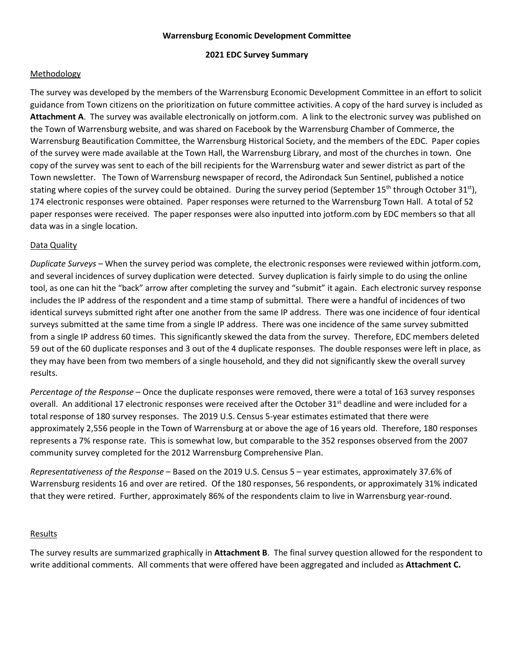#### **Warrensburg Economic Development Committee**

#### **2021 EDC Survey Summary**

#### **Methodology**

The survey was developed by the members of the Warrensburg Economic Development Committee in an effort to solicit guidance from Town citizens on the prioritization on future committee activities. A copy of the hard survey is included as **Attachment A**. The survey was available electronically on jotform.com. A link to the electronic survey was published on the Town of Warrensburg website, and was shared on Facebook by the Warrensburg Chamber of Commerce, the Warrensburg Beautification Committee, the Warrensburg Historical Society, and the members of the EDC. Paper copies of the survey were made available at the Town Hall, the Warrensburg Library, and most of the churches in town. One copy of the survey was sent to each of the bill recipients for the Warrensburg water and sewer district as part of the Town newsletter. The Town of Warrensburg newspaper of record, the Adirondack Sun Sentinel, published a notice stating where copies of the survey could be obtained. During the survey period (September 15<sup>th</sup> through October 31<sup>st</sup>), 174 electronic responses were obtained. Paper responses were returned to the Warrensburg Town Hall. A total of 52 paper responses were received. The paper responses were also inputted into jotform.com by EDC members so that all data was in a single location.

#### Data Quality

*Duplicate Surveys* – When the survey period was complete, the electronic responses were reviewed within jotform.com, and several incidences of survey duplication were detected. Survey duplication is fairly simple to do using the online tool, as one can hit the "back" arrow after completing the survey and "submit" it again. Each electronic survey response includes the IP address of the respondent and a time stamp of submittal. There were a handful of incidences of two identical surveys submitted right after one another from the same IP address. There was one incidence of four identical surveys submitted at the same time from a single IP address. There was one incidence of the same survey submitted from a single IP address 60 times. This significantly skewed the data from the survey. Therefore, EDC members deleted 59 out of the 60 duplicate responses and 3 out of the 4 duplicate responses. The double responses were left in place, as they may have been from two members of a single household, and they did not significantly skew the overall survey results.

*Percentage of the Response* – Once the duplicate responses were removed, there were a total of 163 survey responses overall. An additional 17 electronic responses were received after the October 31<sup>st</sup> deadline and were included for a total response of 180 survey responses. The 2019 U.S. Census 5-year estimates estimated that there were approximately 2,556 people in the Town of Warrensburg at or above the age of 16 years old. Therefore, 180 responses represents a 7% response rate. This is somewhat low, but comparable to the 352 responses observed from the 2007 community survey completed for the 2012 Warrensburg Comprehensive Plan.

*Representativeness of the Response* – Based on the 2019 U.S. Census 5 – year estimates, approximately 37.6% of Warrensburg residents 16 and over are retired. Of the 180 responses, 56 respondents, or approximately 31% indicated that they were retired. Further, approximately 86% of the respondents claim to live in Warrensburg year-round.

#### Results

The survey results are summarized graphically in **Attachment B**. The final survey question allowed for the respondent to write additional comments. All comments that were offered have been aggregated and included as **Attachment C.**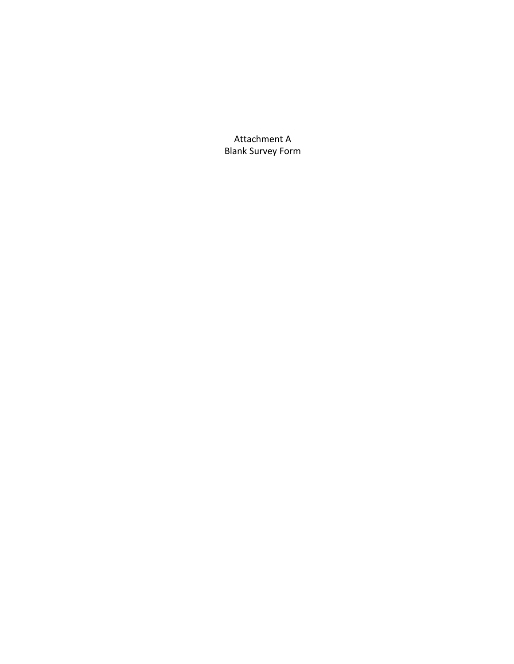Attachment A Blank Survey Form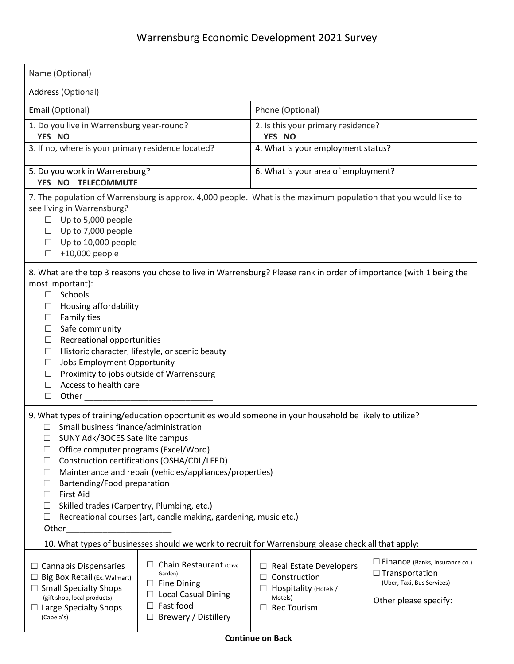| Name (Optional)                                                                                                                                                                                                                                                                                                                                                                                                                                                                                                                                                                  |                                                                                                                                       |                                                                                                                                       |                                                                                                                       |  |  |  |
|----------------------------------------------------------------------------------------------------------------------------------------------------------------------------------------------------------------------------------------------------------------------------------------------------------------------------------------------------------------------------------------------------------------------------------------------------------------------------------------------------------------------------------------------------------------------------------|---------------------------------------------------------------------------------------------------------------------------------------|---------------------------------------------------------------------------------------------------------------------------------------|-----------------------------------------------------------------------------------------------------------------------|--|--|--|
| Address (Optional)                                                                                                                                                                                                                                                                                                                                                                                                                                                                                                                                                               |                                                                                                                                       |                                                                                                                                       |                                                                                                                       |  |  |  |
| Email (Optional)                                                                                                                                                                                                                                                                                                                                                                                                                                                                                                                                                                 |                                                                                                                                       | Phone (Optional)                                                                                                                      |                                                                                                                       |  |  |  |
| 1. Do you live in Warrensburg year-round?<br>YES NO                                                                                                                                                                                                                                                                                                                                                                                                                                                                                                                              |                                                                                                                                       | 2. Is this your primary residence?<br>YES NO                                                                                          |                                                                                                                       |  |  |  |
| 3. If no, where is your primary residence located?                                                                                                                                                                                                                                                                                                                                                                                                                                                                                                                               |                                                                                                                                       | 4. What is your employment status?                                                                                                    |                                                                                                                       |  |  |  |
| 5. Do you work in Warrensburg?<br>YES NO TELECOMMUTE                                                                                                                                                                                                                                                                                                                                                                                                                                                                                                                             |                                                                                                                                       | 6. What is your area of employment?                                                                                                   |                                                                                                                       |  |  |  |
| 7. The population of Warrensburg is approx. 4,000 people. What is the maximum population that you would like to<br>see living in Warrensburg?<br>Up to 5,000 people<br>$\Box$<br>Up to 7,000 people<br>$\Box$<br>Up to 10,000 people<br>Ш<br>+10,000 people<br>$\Box$                                                                                                                                                                                                                                                                                                            |                                                                                                                                       |                                                                                                                                       |                                                                                                                       |  |  |  |
| 8. What are the top 3 reasons you chose to live in Warrensburg? Please rank in order of importance (with 1 being the<br>most important):<br>Schools<br>$\Box$<br>Housing affordability<br>⊔<br>Family ties<br>⊔<br>Safe community<br>⊔<br>Recreational opportunities<br>⊔<br>Historic character, lifestyle, or scenic beauty<br>$\Box$<br>Jobs Employment Opportunity<br>$\Box$<br>Proximity to jobs outside of Warrensburg<br>⊔<br>Access to health care<br>$\Box$<br>Other_<br>$\Box$                                                                                          |                                                                                                                                       |                                                                                                                                       |                                                                                                                       |  |  |  |
| 9. What types of training/education opportunities would someone in your household be likely to utilize?<br>Small business finance/administration<br>SUNY Adk/BOCES Satellite campus<br>Office computer programs (Excel/Word)<br>Construction certifications (OSHA/CDL/LEED)<br>$\Box$<br>Maintenance and repair (vehicles/appliances/properties)<br>$\Box$<br>Bartending/Food preparation<br>$\Box$<br><b>First Aid</b><br>$\Box$<br>Skilled trades (Carpentry, Plumbing, etc.)<br>$\Box$<br>Recreational courses (art, candle making, gardening, music etc.)<br>$\Box$<br>Other |                                                                                                                                       |                                                                                                                                       |                                                                                                                       |  |  |  |
|                                                                                                                                                                                                                                                                                                                                                                                                                                                                                                                                                                                  | 10. What types of businesses should we work to recruit for Warrensburg please check all that apply:                                   |                                                                                                                                       |                                                                                                                       |  |  |  |
| $\Box$ Cannabis Dispensaries<br>Big Box Retail (Ex. Walmart)<br>$\Box$<br>$\Box$ Small Specialty Shops<br>(gift shop, local products)<br>$\Box$ Large Specialty Shops<br>(Cabela's)                                                                                                                                                                                                                                                                                                                                                                                              | Chain Restaurant (Olive<br>Garden)<br>$\Box$ Fine Dining<br><b>Local Casual Dining</b><br>Fast food<br>П<br>Brewery / Distillery<br>ப | <b>Real Estate Developers</b><br>Construction<br>$\Box$<br>Hospitality (Hotels /<br>$\Box$<br>Motels)<br><b>Rec Tourism</b><br>$\Box$ | $\Box$ Finance (Banks, Insurance co.)<br>$\Box$ Transportation<br>(Uber, Taxi, Bus Services)<br>Other please specify: |  |  |  |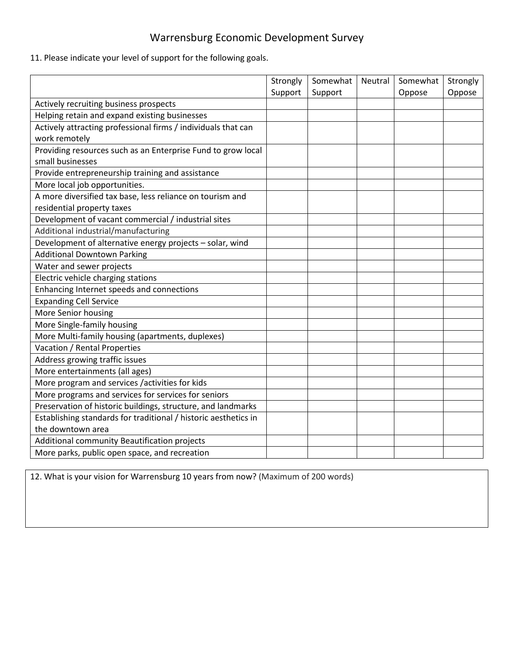## Warrensburg Economic Development Survey

11. Please indicate your level of support for the following goals.

|                                                                 | Strongly | Somewhat | Neutral | Somewhat | Strongly |
|-----------------------------------------------------------------|----------|----------|---------|----------|----------|
|                                                                 | Support  | Support  |         | Oppose   | Oppose   |
| Actively recruiting business prospects                          |          |          |         |          |          |
| Helping retain and expand existing businesses                   |          |          |         |          |          |
| Actively attracting professional firms / individuals that can   |          |          |         |          |          |
| work remotely                                                   |          |          |         |          |          |
| Providing resources such as an Enterprise Fund to grow local    |          |          |         |          |          |
| small businesses                                                |          |          |         |          |          |
| Provide entrepreneurship training and assistance                |          |          |         |          |          |
| More local job opportunities.                                   |          |          |         |          |          |
| A more diversified tax base, less reliance on tourism and       |          |          |         |          |          |
| residential property taxes                                      |          |          |         |          |          |
| Development of vacant commercial / industrial sites             |          |          |         |          |          |
| Additional industrial/manufacturing                             |          |          |         |          |          |
| Development of alternative energy projects - solar, wind        |          |          |         |          |          |
| <b>Additional Downtown Parking</b>                              |          |          |         |          |          |
| Water and sewer projects                                        |          |          |         |          |          |
| Electric vehicle charging stations                              |          |          |         |          |          |
| Enhancing Internet speeds and connections                       |          |          |         |          |          |
| <b>Expanding Cell Service</b>                                   |          |          |         |          |          |
| More Senior housing                                             |          |          |         |          |          |
| More Single-family housing                                      |          |          |         |          |          |
| More Multi-family housing (apartments, duplexes)                |          |          |         |          |          |
| Vacation / Rental Properties                                    |          |          |         |          |          |
| Address growing traffic issues                                  |          |          |         |          |          |
| More entertainments (all ages)                                  |          |          |         |          |          |
| More program and services /activities for kids                  |          |          |         |          |          |
| More programs and services for services for seniors             |          |          |         |          |          |
| Preservation of historic buildings, structure, and landmarks    |          |          |         |          |          |
| Establishing standards for traditional / historic aesthetics in |          |          |         |          |          |
| the downtown area                                               |          |          |         |          |          |
| Additional community Beautification projects                    |          |          |         |          |          |
| More parks, public open space, and recreation                   |          |          |         |          |          |

12. What is your vision for Warrensburg 10 years from now? (Maximum of 200 words)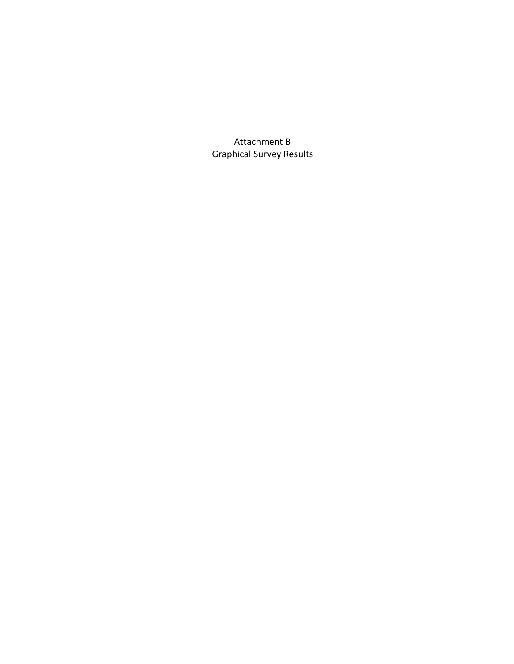Attachment B Graphical Survey Results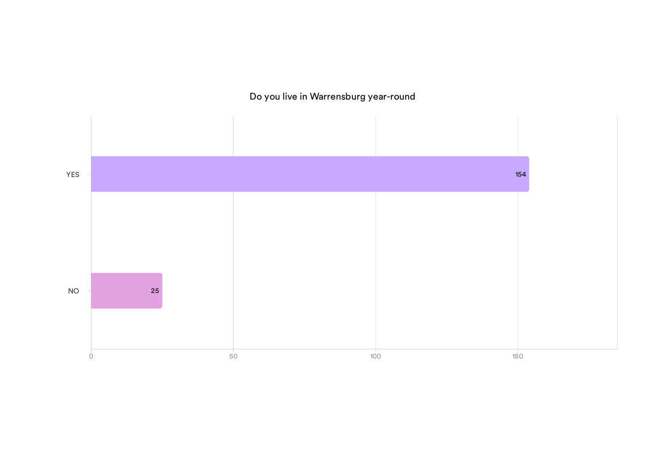## Do you live in Warrensburg year-round

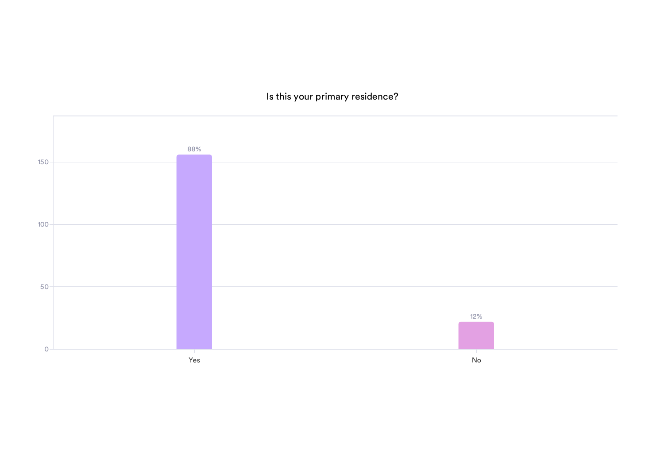Is this your primary residence?

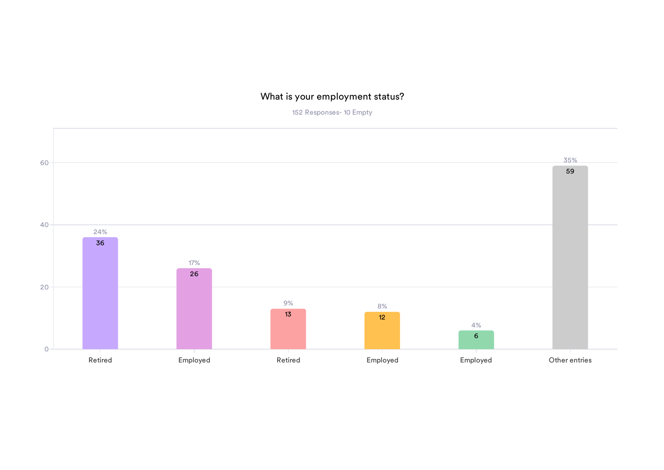## What is your employment status?

152 Responses- 10 Empty

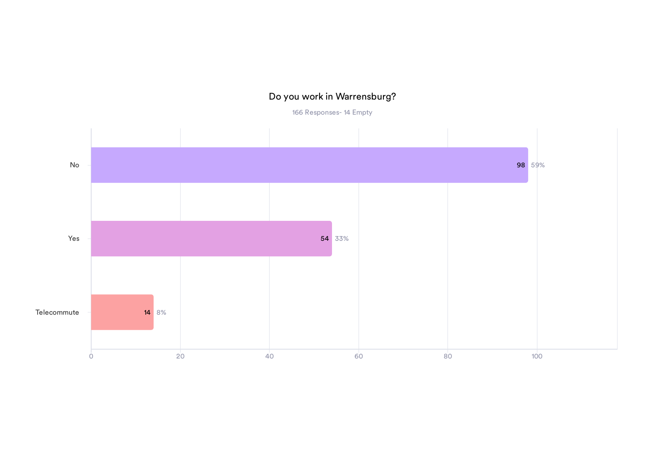## Do you work in Warrensburg?

166 Responses- 14 Empty

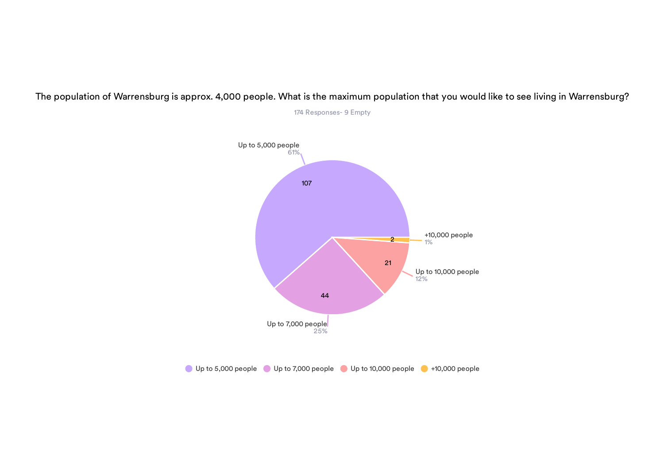

The population of Warrensburg is approx. 4,000 people. What is the maximum population that you would like to see living in Warrensburg?

174 Responses- 9 Empty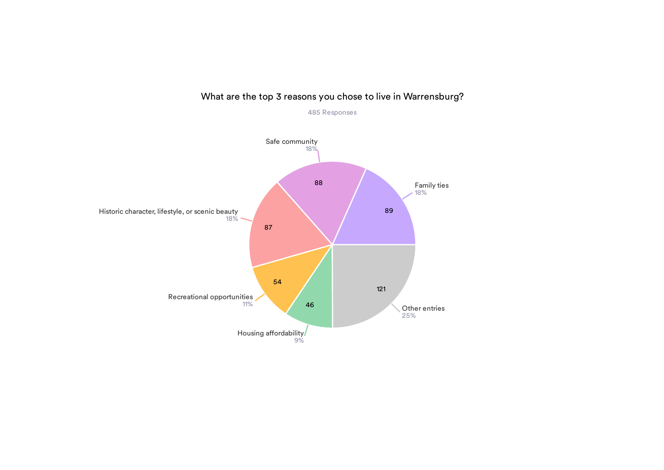

### What are the top 3 reasons you chose to live in Warrensburg? 485 Responses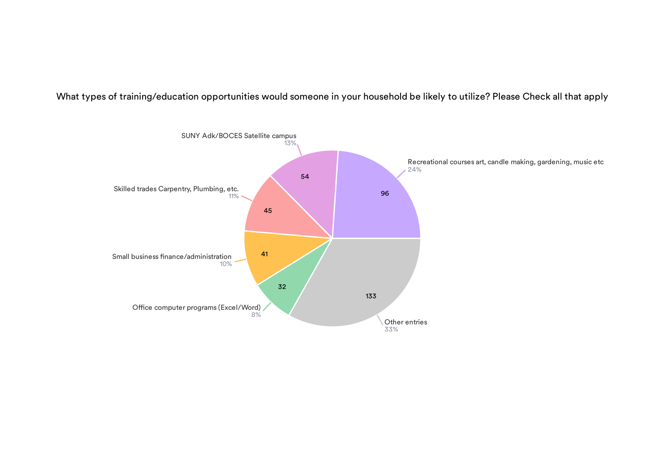What types of training/education opportunities would someone in your household be likely to utilize? Please Check all that apply

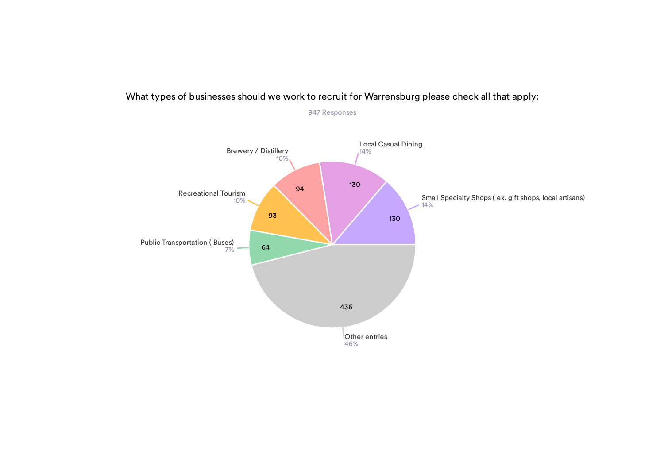

### What types of businesses should we work to recruit for Warrensburg please check all that apply:

947 Responses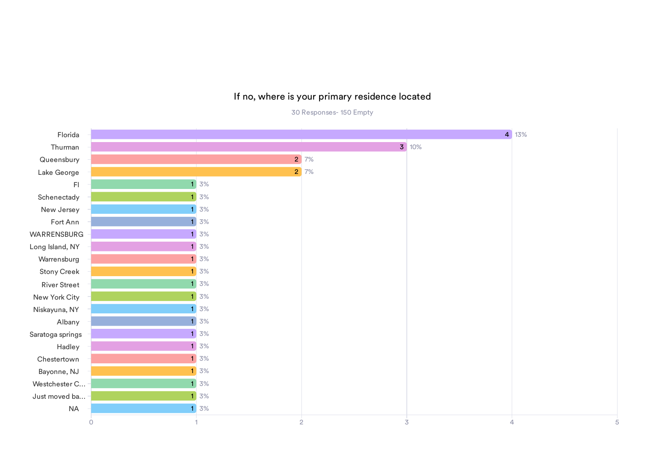#### If no, where is your primary residence located

30 Responses- 150 Empty

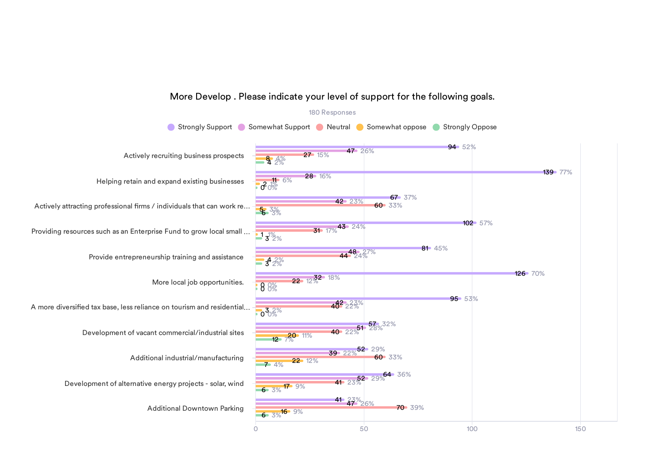#### 180 Responses **Strongly Support C** Somewhat Support C Neutral C Somewhat oppose Strongly Oppose 0 50 100 150 Actively recruiting business prospects Helping retain and expand existing businesses Actively attracting professional firms / individuals that can work re... Providing resources such as an Enterprise Fund to grow local small … Provide entrepreneurship training and assistance More local job opportunities. A more diversified tax base, less reliance on tourism and residential... Development of vacant commercial/industrial sites Additional industrial/manufacturing Development of alternative energy projects - solar, wind Additional Downtown Parking 94 52% 139 77% 67 37% 102 57% 81 45% 126 70% 95 53% 57 32%  $,52$  29%  $\frac{52}{23\%}$  29% 36%  $41 \frac{23}{9}$   $26\%$ 47 26% 28 16% 42 23%  $31 \t17%$ <sup>43</sup> 24% 44<sup>48</sup>24<sup>27%</sup>  $22 \tcdot 12\frac{3}{2}$ <sup>2</sup> 18%  $40^2$   $22\%$  $40.22\%$ <sup>51</sup> 28% 39 22% 27 15%  $3^{15}$  6% 60 33% 60 33% 70 39% **8**  $4%$  $5.3%$  $13\frac{1}{2}\%$  $3^4$  2% 0 0% 0 0%  $0.38%$  $12 - 7\%$  11% 22 12%  $6 - 3%$ <sup>17</sup> 9%  $6\degree 3\%$ <sup>16</sup> 9% 7 4%

#### More Develop . Please indicate your level of support for the following goals.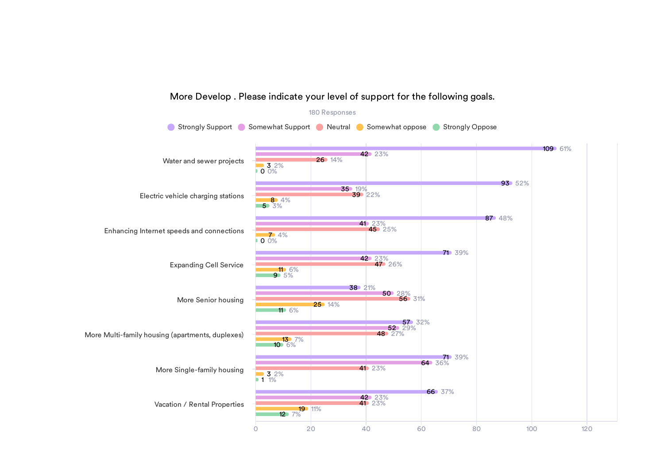

#### More Develop . Please indicate your level of support for the following goals.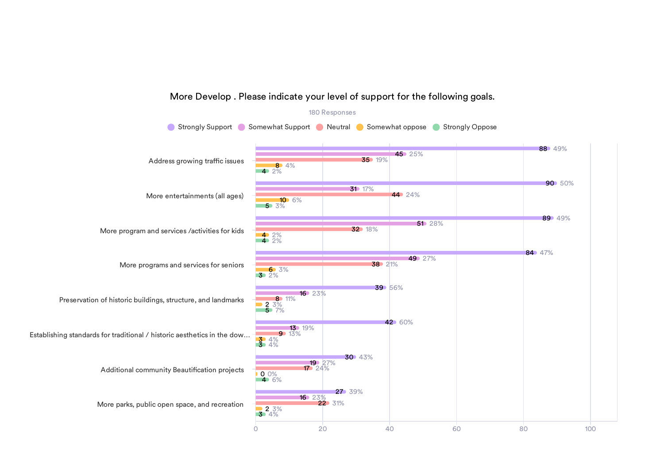

#### More Develop . Please indicate your level of support for the following goals.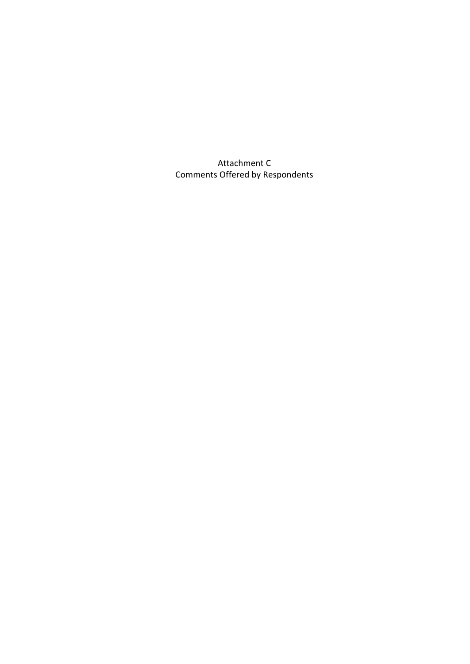Attachment C Comments Offered by Respondents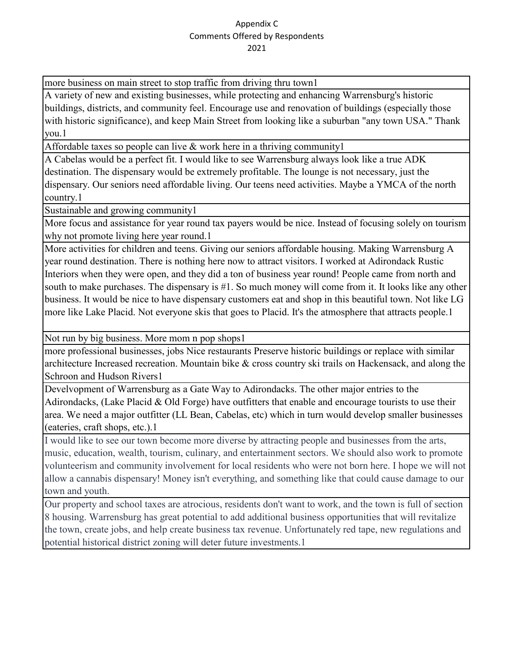more business on main street to stop traffic from driving thru town1

A variety of new and existing businesses, while protecting and enhancing Warrensburg's historic buildings, districts, and community feel. Encourage use and renovation of buildings (especially those with historic significance), and keep Main Street from looking like a suburban "any town USA." Thank you.1

Affordable taxes so people can live & work here in a thriving community1

A Cabelas would be a perfect fit. I would like to see Warrensburg always look like a true ADK destination. The dispensary would be extremely profitable. The lounge is not necessary, just the dispensary. Our seniors need affordable living. Our teens need activities. Maybe a YMCA of the north country.1

Sustainable and growing community1

More focus and assistance for year round tax payers would be nice. Instead of focusing solely on tourism why not promote living here year round.1

More activities for children and teens. Giving our seniors affordable housing. Making Warrensburg A year round destination. There is nothing here now to attract visitors. I worked at Adirondack Rustic Interiors when they were open, and they did a ton of business year round! People came from north and south to make purchases. The dispensary is #1. So much money will come from it. It looks like any other business. It would be nice to have dispensary customers eat and shop in this beautiful town. Not like LG more like Lake Placid. Not everyone skis that goes to Placid. It's the atmosphere that attracts people.1

Not run by big business. More mom n pop shops1

more professional businesses, jobs Nice restaurants Preserve historic buildings or replace with similar architecture Increased recreation. Mountain bike & cross country ski trails on Hackensack, and along the Schroon and Hudson Rivers1

Develvopment of Warrensburg as a Gate Way to Adirondacks. The other major entries to the Adirondacks, (Lake Placid & Old Forge) have outfitters that enable and encourage tourists to use their area. We need a major outfitter (LL Bean, Cabelas, etc) which in turn would develop smaller businesses (eateries, craft shops, etc.).1

I would like to see our town become more diverse by attracting people and businesses from the arts, music, education, wealth, tourism, culinary, and entertainment sectors. We should also work to promote volunteerism and community involvement for local residents who were not born here. I hope we will not allow a cannabis dispensary! Money isn't everything, and something like that could cause damage to our town and youth.

Our property and school taxes are atrocious, residents don't want to work, and the town is full of section 8 housing. Warrensburg has great potential to add additional business opportunities that will revitalize the town, create jobs, and help create business tax revenue. Unfortunately red tape, new regulations and potential historical district zoning will deter future investments.1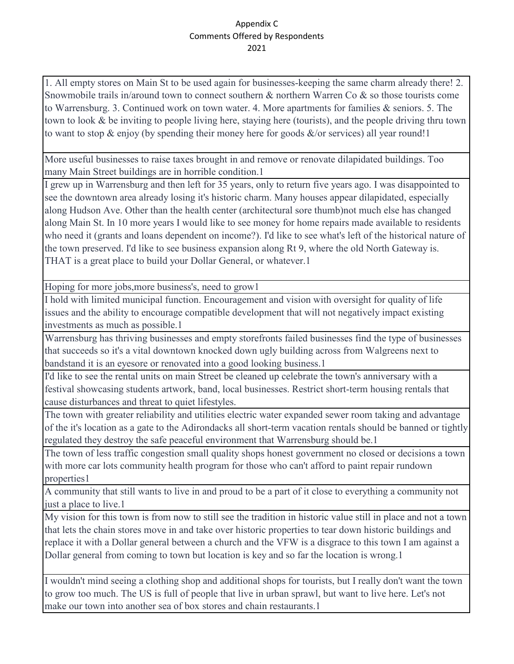1. All empty stores on Main St to be used again for businesses-keeping the same charm already there! 2. Snowmobile trails in/around town to connect southern & northern Warren Co & so those tourists come to Warrensburg. 3. Continued work on town water. 4. More apartments for families & seniors. 5. The town to look & be inviting to people living here, staying here (tourists), and the people driving thru town to want to stop  $\&$  enjoy (by spending their money here for goods  $\&/$  or services) all year round!

More useful businesses to raise taxes brought in and remove or renovate dilapidated buildings. Too many Main Street buildings are in horrible condition.1

I grew up in Warrensburg and then left for 35 years, only to return five years ago. I was disappointed to see the downtown area already losing it's historic charm. Many houses appear dilapidated, especially along Hudson Ave. Other than the health center (architectural sore thumb)not much else has changed along Main St. In 10 more years I would like to see money for home repairs made available to residents who need it (grants and loans dependent on income?). I'd like to see what's left of the historical nature of the town preserved. I'd like to see business expansion along Rt 9, where the old North Gateway is. THAT is a great place to build your Dollar General, or whatever.1

Hoping for more jobs,more business's, need to grow1

I hold with limited municipal function. Encouragement and vision with oversight for quality of life issues and the ability to encourage compatible development that will not negatively impact existing investments as much as possible.1

Warrensburg has thriving businesses and empty storefronts failed businesses find the type of businesses that succeeds so it's a vital downtown knocked down ugly building across from Walgreens next to bandstand it is an eyesore or renovated into a good looking business.1

I'd like to see the rental units on main Street be cleaned up celebrate the town's anniversary with a festival showcasing students artwork, band, local businesses. Restrict short-term housing rentals that cause disturbances and threat to quiet lifestyles.

The town with greater reliability and utilities electric water expanded sewer room taking and advantage of the it's location as a gate to the Adirondacks all short-term vacation rentals should be banned or tightly regulated they destroy the safe peaceful environment that Warrensburg should be.1

The town of less traffic congestion small quality shops honest government no closed or decisions a town with more car lots community health program for those who can't afford to paint repair rundown properties1

A community that still wants to live in and proud to be a part of it close to everything a community not just a place to live.1

My vision for this town is from now to still see the tradition in historic value still in place and not a town that lets the chain stores move in and take over historic properties to tear down historic buildings and replace it with a Dollar general between a church and the VFW is a disgrace to this town I am against a Dollar general from coming to town but location is key and so far the location is wrong.1

I wouldn't mind seeing a clothing shop and additional shops for tourists, but I really don't want the town to grow too much. The US is full of people that live in urban sprawl, but want to live here. Let's not make our town into another sea of box stores and chain restaurants.1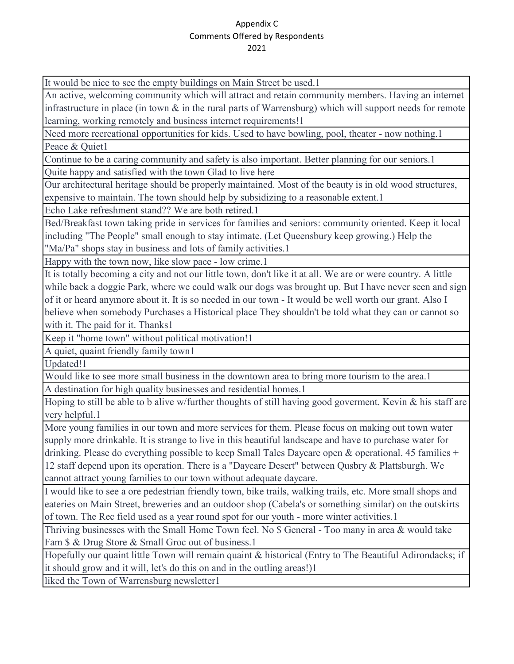It would be nice to see the empty buildings on Main Street be used.1

An active, welcoming community which will attract and retain community members. Having an internet infrastructure in place (in town & in the rural parts of Warrensburg) which will support needs for remote learning, working remotely and business internet requirements!1

Need more recreational opportunities for kids. Used to have bowling, pool, theater - now nothing.1 Peace & Ouiet1

Continue to be a caring community and safety is also important. Better planning for our seniors.1 Quite happy and satisfied with the town Glad to live here

Our architectural heritage should be properly maintained. Most of the beauty is in old wood structures, expensive to maintain. The town should help by subsidizing to a reasonable extent.1

Echo Lake refreshment stand?? We are both retired.1

Bed/Breakfast town taking pride in services for families and seniors: community oriented. Keep it local including "The People" small enough to stay intimate. (Let Queensbury keep growing.) Help the "Ma/Pa" shops stay in business and lots of family activities.1

Happy with the town now, like slow pace - low crime.1

It is totally becoming a city and not our little town, don't like it at all. We are or were country. A little while back a doggie Park, where we could walk our dogs was brought up. But I have never seen and sign of it or heard anymore about it. It is so needed in our town - It would be well worth our grant. Also I believe when somebody Purchases a Historical place They shouldn't be told what they can or cannot so with it. The paid for it. Thanks1

Keep it "home town" without political motivation!1

A quiet, quaint friendly family town1

Updated!1

Would like to see more small business in the downtown area to bring more tourism to the area. A destination for high quality businesses and residential homes.1

Hoping to still be able to b alive w/further thoughts of still having good goverment. Kevin & his staff are very helpful.1

More young families in our town and more services for them. Please focus on making out town water supply more drinkable. It is strange to live in this beautiful landscape and have to purchase water for drinking. Please do everything possible to keep Small Tales Daycare open & operational. 45 families + 12 staff depend upon its operation. There is a "Daycare Desert" between Qusbry & Plattsburgh. We cannot attract young families to our town without adequate daycare.

I would like to see a ore pedestrian friendly town, bike trails, walking trails, etc. More small shops and eateries on Main Street, breweries and an outdoor shop (Cabela's or something similar) on the outskirts of town. The Rec field used as a year round spot for our youth - more winter activities.1

Thriving businesses with the Small Home Town feel. No \$ General - Too many in area & would take Fam \$ & Drug Store & Small Groc out of business.1

Hopefully our quaint little Town will remain quaint & historical (Entry to The Beautiful Adirondacks; if it should grow and it will, let's do this on and in the outling areas!)1

liked the Town of Warrensburg newsletter1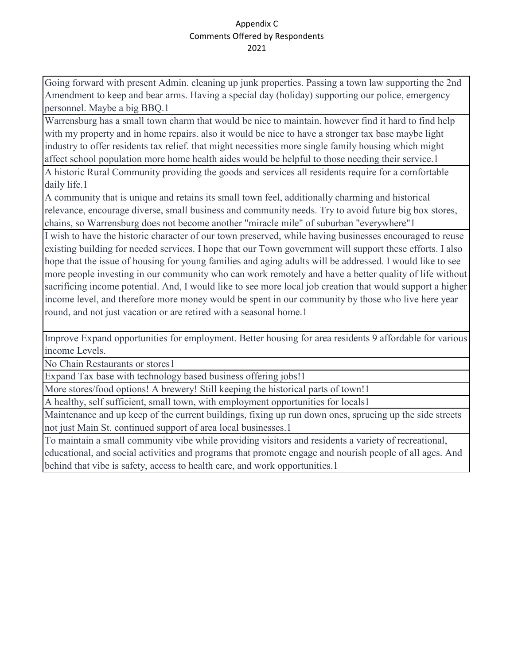Going forward with present Admin. cleaning up junk properties. Passing a town law supporting the 2nd Amendment to keep and bear arms. Having a special day (holiday) supporting our police, emergency personnel. Maybe a big BBQ.1

Warrensburg has a small town charm that would be nice to maintain. however find it hard to find help with my property and in home repairs. also it would be nice to have a stronger tax base maybe light industry to offer residents tax relief. that might necessities more single family housing which might affect school population more home health aides would be helpful to those needing their service.1

A historic Rural Community providing the goods and services all residents require for a comfortable daily life.1

A community that is unique and retains its small town feel, additionally charming and historical relevance, encourage diverse, small business and community needs. Try to avoid future big box stores, chains, so Warrensburg does not become another "miracle mile" of suburban "everywhere"1

I wish to have the historic character of our town preserved, while having businesses encouraged to reuse existing building for needed services. I hope that our Town government will support these efforts. I also hope that the issue of housing for young families and aging adults will be addressed. I would like to see more people investing in our community who can work remotely and have a better quality of life without sacrificing income potential. And, I would like to see more local job creation that would support a higher income level, and therefore more money would be spent in our community by those who live here year round, and not just vacation or are retired with a seasonal home.1

Improve Expand opportunities for employment. Better housing for area residents 9 affordable for various income Levels.

No Chain Restaurants or stores1

Expand Tax base with technology based business offering jobs!1

More stores/food options! A brewery! Still keeping the historical parts of town!1

A healthy, self sufficient, small town, with employment opportunities for locals1

Maintenance and up keep of the current buildings, fixing up run down ones, sprucing up the side streets not just Main St. continued support of area local businesses.1

To maintain a small community vibe while providing visitors and residents a variety of recreational, educational, and social activities and programs that promote engage and nourish people of all ages. And behind that vibe is safety, access to health care, and work opportunities.1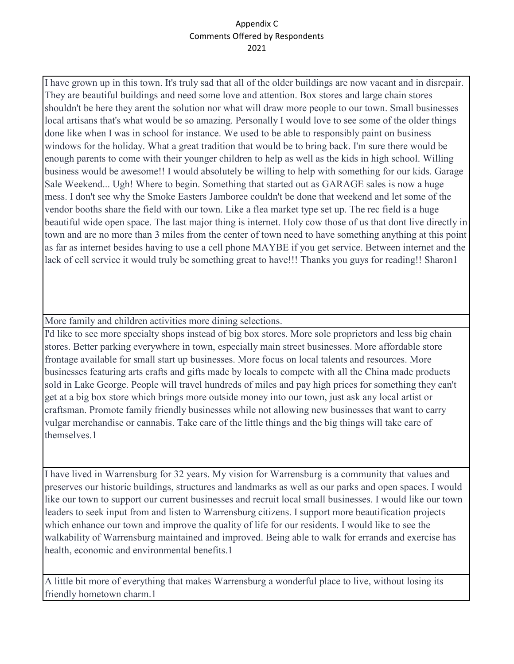I have grown up in this town. It's truly sad that all of the older buildings are now vacant and in disrepair. They are beautiful buildings and need some love and attention. Box stores and large chain stores shouldn't be here they arent the solution nor what will draw more people to our town. Small businesses local artisans that's what would be so amazing. Personally I would love to see some of the older things done like when I was in school for instance. We used to be able to responsibly paint on business windows for the holiday. What a great tradition that would be to bring back. I'm sure there would be enough parents to come with their younger children to help as well as the kids in high school. Willing business would be awesome!! I would absolutely be willing to help with something for our kids. Garage Sale Weekend... Ugh! Where to begin. Something that started out as GARAGE sales is now a huge mess. I don't see why the Smoke Easters Jamboree couldn't be done that weekend and let some of the vendor booths share the field with our town. Like a flea market type set up. The rec field is a huge beautiful wide open space. The last major thing is internet. Holy cow those of us that dont live directly in town and are no more than 3 miles from the center of town need to have something anything at this point as far as internet besides having to use a cell phone MAYBE if you get service. Between internet and the lack of cell service it would truly be something great to have!!! Thanks you guys for reading!! Sharon1

More family and children activities more dining selections.

I'd like to see more specialty shops instead of big box stores. More sole proprietors and less big chain stores. Better parking everywhere in town, especially main street businesses. More affordable store frontage available for small start up businesses. More focus on local talents and resources. More businesses featuring arts crafts and gifts made by locals to compete with all the China made products sold in Lake George. People will travel hundreds of miles and pay high prices for something they can't get at a big box store which brings more outside money into our town, just ask any local artist or craftsman. Promote family friendly businesses while not allowing new businesses that want to carry vulgar merchandise or cannabis. Take care of the little things and the big things will take care of themselves.1

I have lived in Warrensburg for 32 years. My vision for Warrensburg is a community that values and preserves our historic buildings, structures and landmarks as well as our parks and open spaces. I would like our town to support our current businesses and recruit local small businesses. I would like our town leaders to seek input from and listen to Warrensburg citizens. I support more beautification projects which enhance our town and improve the quality of life for our residents. I would like to see the walkability of Warrensburg maintained and improved. Being able to walk for errands and exercise has health, economic and environmental benefits.1

A little bit more of everything that makes Warrensburg a wonderful place to live, without losing its friendly hometown charm.1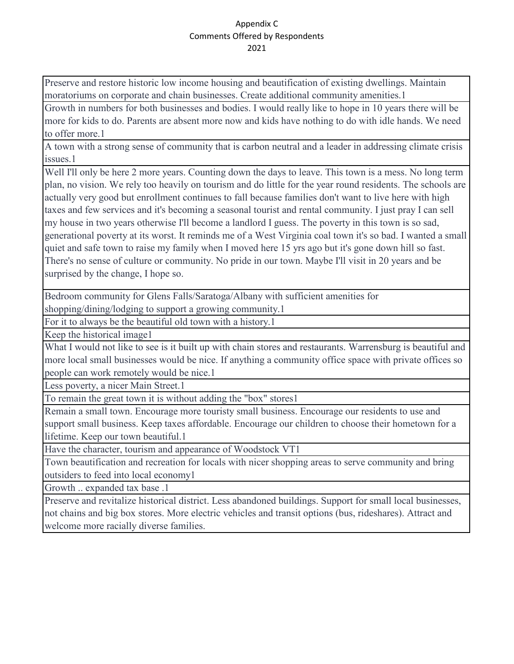Preserve and restore historic low income housing and beautification of existing dwellings. Maintain moratoriums on corporate and chain businesses. Create additional community amenities.1

Growth in numbers for both businesses and bodies. I would really like to hope in 10 years there will be more for kids to do. Parents are absent more now and kids have nothing to do with idle hands. We need to offer more.1

A town with a strong sense of community that is carbon neutral and a leader in addressing climate crisis issues.1

Well I'll only be here 2 more years. Counting down the days to leave. This town is a mess. No long term plan, no vision. We rely too heavily on tourism and do little for the year round residents. The schools are actually very good but enrollment continues to fall because families don't want to live here with high taxes and few services and it's becoming a seasonal tourist and rental community. I just pray I can sell my house in two years otherwise I'll become a landlord I guess. The poverty in this town is so sad, generational poverty at its worst. It reminds me of a West Virginia coal town it's so bad. I wanted a small quiet and safe town to raise my family when I moved here 15 yrs ago but it's gone down hill so fast. There's no sense of culture or community. No pride in our town. Maybe I'll visit in 20 years and be surprised by the change, I hope so.

Bedroom community for Glens Falls/Saratoga/Albany with sufficient amenities for

shopping/dining/lodging to support a growing community.1

For it to always be the beautiful old town with a history.1

Keep the historical image1

What I would not like to see is it built up with chain stores and restaurants. Warrensburg is beautiful and more local small businesses would be nice. If anything a community office space with private offices so people can work remotely would be nice.1

Less poverty, a nicer Main Street.1

To remain the great town it is without adding the "box" stores1

Remain a small town. Encourage more touristy small business. Encourage our residents to use and support small business. Keep taxes affordable. Encourage our children to choose their hometown for a lifetime. Keep our town beautiful.1

Have the character, tourism and appearance of Woodstock VT1

Town beautification and recreation for locals with nicer shopping areas to serve community and bring outsiders to feed into local economy1

Growth .. expanded tax base .1

Preserve and revitalize historical district. Less abandoned buildings. Support for small local businesses, not chains and big box stores. More electric vehicles and transit options (bus, rideshares). Attract and welcome more racially diverse families.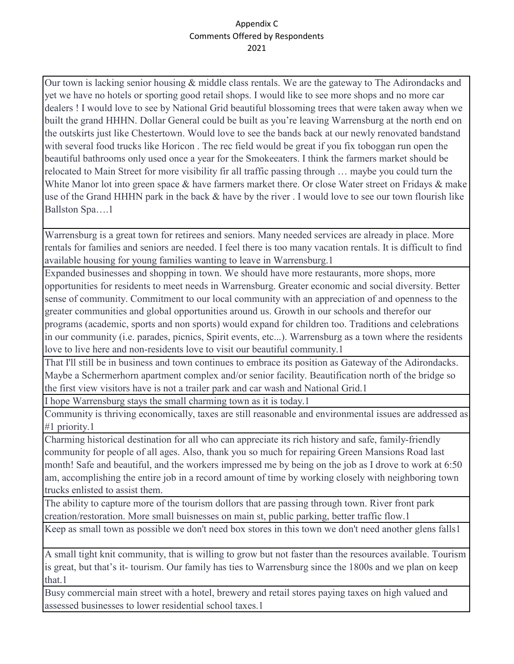Our town is lacking senior housing & middle class rentals. We are the gateway to The Adirondacks and yet we have no hotels or sporting good retail shops. I would like to see more shops and no more car dealers ! I would love to see by National Grid beautiful blossoming trees that were taken away when we built the grand HHHN. Dollar General could be built as you're leaving Warrensburg at the north end on the outskirts just like Chestertown. Would love to see the bands back at our newly renovated bandstand with several food trucks like Horicon . The rec field would be great if you fix toboggan run open the beautiful bathrooms only used once a year for the Smokeeaters. I think the farmers market should be relocated to Main Street for more visibility fir all traffic passing through … maybe you could turn the White Manor lot into green space & have farmers market there. Or close Water street on Fridays & make use of the Grand HHHN park in the back & have by the river . I would love to see our town flourish like Ballston Spa….1

Warrensburg is a great town for retirees and seniors. Many needed services are already in place. More rentals for families and seniors are needed. I feel there is too many vacation rentals. It is difficult to find available housing for young families wanting to leave in Warrensburg.1

Expanded businesses and shopping in town. We should have more restaurants, more shops, more opportunities for residents to meet needs in Warrensburg. Greater economic and social diversity. Better sense of community. Commitment to our local community with an appreciation of and openness to the greater communities and global opportunities around us. Growth in our schools and therefor our programs (academic, sports and non sports) would expand for children too. Traditions and celebrations in our community (i.e. parades, picnics, Spirit events, etc...). Warrensburg as a town where the residents love to live here and non-residents love to visit our beautiful community.1

That I'll still be in business and town continues to embrace its position as Gateway of the Adirondacks. Maybe a Schermerhorn apartment complex and/or senior facility. Beautification north of the bridge so the first view visitors have is not a trailer park and car wash and National Grid.1

I hope Warrensburg stays the small charming town as it is today.1

Community is thriving economically, taxes are still reasonable and environmental issues are addressed as #1 priority.1

Charming historical destination for all who can appreciate its rich history and safe, family-friendly community for people of all ages. Also, thank you so much for repairing Green Mansions Road last month! Safe and beautiful, and the workers impressed me by being on the job as I drove to work at 6:50 am, accomplishing the entire job in a record amount of time by working closely with neighboring town trucks enlisted to assist them.

The ability to capture more of the tourism dollors that are passing through town. River front park creation/restoration. More small buisnesses on main st, public parking, better traffic flow.1

Keep as small town as possible we don't need box stores in this town we don't need another glens falls1

A small tight knit community, that is willing to grow but not faster than the resources available. Tourism is great, but that's it- tourism. Our family has ties to Warrensburg since the 1800s and we plan on keep that.1

Busy commercial main street with a hotel, brewery and retail stores paying taxes on high valued and assessed businesses to lower residential school taxes.1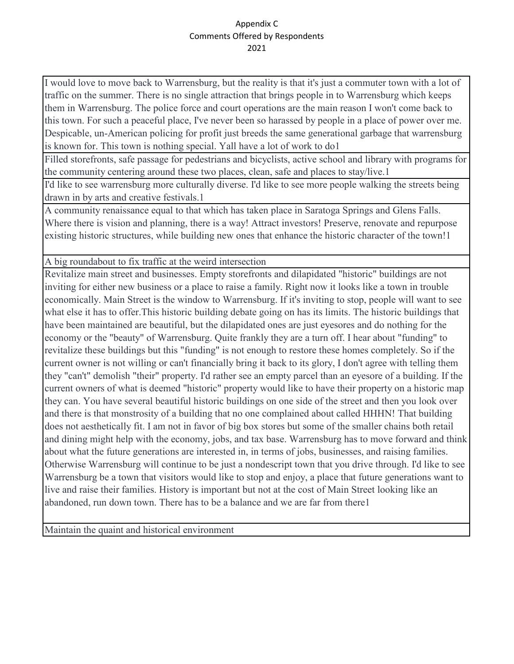I would love to move back to Warrensburg, but the reality is that it's just a commuter town with a lot of traffic on the summer. There is no single attraction that brings people in to Warrensburg which keeps them in Warrensburg. The police force and court operations are the main reason I won't come back to this town. For such a peaceful place, I've never been so harassed by people in a place of power over me. Despicable, un-American policing for profit just breeds the same generational garbage that warrensburg is known for. This town is nothing special. Yall have a lot of work to do1

Filled storefronts, safe passage for pedestrians and bicyclists, active school and library with programs for the community centering around these two places, clean, safe and places to stay/live.1

I'd like to see warrensburg more culturally diverse. I'd like to see more people walking the streets being drawn in by arts and creative festivals.1

A community renaissance equal to that which has taken place in Saratoga Springs and Glens Falls. Where there is vision and planning, there is a way! Attract investors! Preserve, renovate and repurpose existing historic structures, while building new ones that enhance the historic character of the town!1

A big roundabout to fix traffic at the weird intersection

Revitalize main street and businesses. Empty storefronts and dilapidated "historic" buildings are not inviting for either new business or a place to raise a family. Right now it looks like a town in trouble economically. Main Street is the window to Warrensburg. If it's inviting to stop, people will want to see what else it has to offer.This historic building debate going on has its limits. The historic buildings that have been maintained are beautiful, but the dilapidated ones are just eyesores and do nothing for the economy or the "beauty" of Warrensburg. Quite frankly they are a turn off. I hear about "funding" to revitalize these buildings but this "funding" is not enough to restore these homes completely. So if the current owner is not willing or can't financially bring it back to its glory, I don't agree with telling them they "can't" demolish "their" property. I'd rather see an empty parcel than an eyesore of a building. If the current owners of what is deemed "historic" property would like to have their property on a historic map they can. You have several beautiful historic buildings on one side of the street and then you look over and there is that monstrosity of a building that no one complained about called HHHN! That building does not aesthetically fit. I am not in favor of big box stores but some of the smaller chains both retail and dining might help with the economy, jobs, and tax base. Warrensburg has to move forward and think about what the future generations are interested in, in terms of jobs, businesses, and raising families. Otherwise Warrensburg will continue to be just a nondescript town that you drive through. I'd like to see Warrensburg be a town that visitors would like to stop and enjoy, a place that future generations want to live and raise their families. History is important but not at the cost of Main Street looking like an abandoned, run down town. There has to be a balance and we are far from there1

Maintain the quaint and historical environment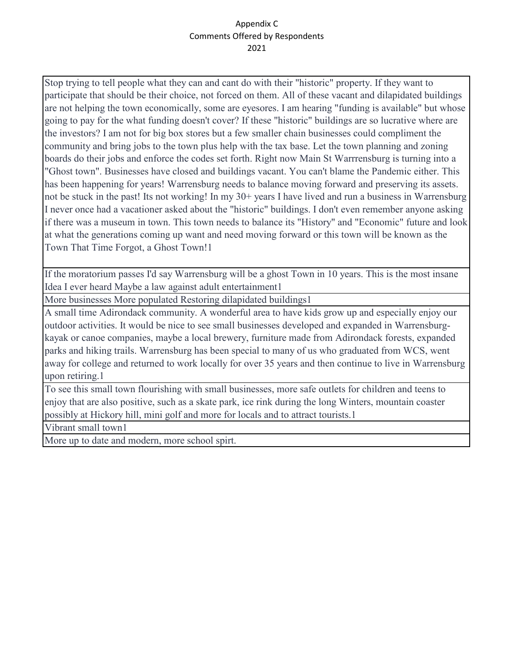Stop trying to tell people what they can and cant do with their "historic" property. If they want to participate that should be their choice, not forced on them. All of these vacant and dilapidated buildings are not helping the town economically, some are eyesores. I am hearing "funding is available" but whose going to pay for the what funding doesn't cover? If these "historic" buildings are so lucrative where are the investors? I am not for big box stores but a few smaller chain businesses could compliment the community and bring jobs to the town plus help with the tax base. Let the town planning and zoning boards do their jobs and enforce the codes set forth. Right now Main St Warrrensburg is turning into a "Ghost town". Businesses have closed and buildings vacant. You can't blame the Pandemic either. This has been happening for years! Warrensburg needs to balance moving forward and preserving its assets. not be stuck in the past! Its not working! In my 30+ years I have lived and run a business in Warrensburg I never once had a vacationer asked about the "historic" buildings. I don't even remember anyone asking if there was a museum in town. This town needs to balance its "History" and "Economic" future and look at what the generations coming up want and need moving forward or this town will be known as the Town That Time Forgot, a Ghost Town!1

If the moratorium passes I'd say Warrensburg will be a ghost Town in 10 years. This is the most insane Idea I ever heard Maybe a law against adult entertainment1

More businesses More populated Restoring dilapidated buildings1

A small time Adirondack community. A wonderful area to have kids grow up and especially enjoy our outdoor activities. It would be nice to see small businesses developed and expanded in Warrensburgkayak or canoe companies, maybe a local brewery, furniture made from Adirondack forests, expanded parks and hiking trails. Warrensburg has been special to many of us who graduated from WCS, went away for college and returned to work locally for over 35 years and then continue to live in Warrensburg upon retiring.1

To see this small town flourishing with small businesses, more safe outlets for children and teens to enjoy that are also positive, such as a skate park, ice rink during the long Winters, mountain coaster possibly at Hickory hill, mini golf and more for locals and to attract tourists.1

Vibrant small town1

More up to date and modern, more school spirt.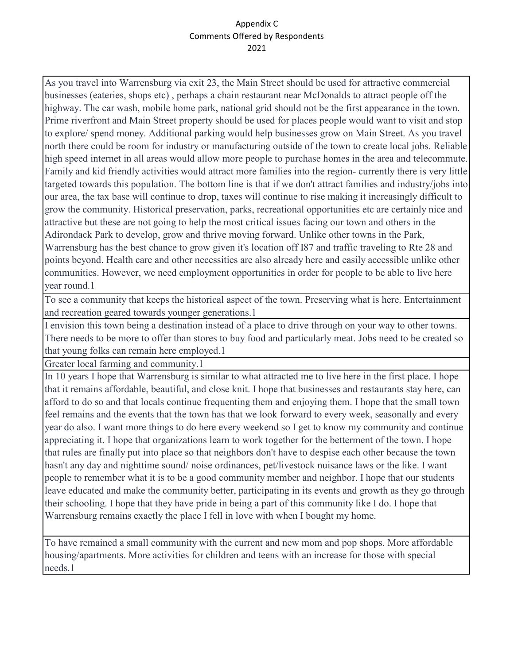As you travel into Warrensburg via exit 23, the Main Street should be used for attractive commercial businesses (eateries, shops etc) , perhaps a chain restaurant near McDonalds to attract people off the highway. The car wash, mobile home park, national grid should not be the first appearance in the town. Prime riverfront and Main Street property should be used for places people would want to visit and stop to explore/ spend money. Additional parking would help businesses grow on Main Street. As you travel north there could be room for industry or manufacturing outside of the town to create local jobs. Reliable high speed internet in all areas would allow more people to purchase homes in the area and telecommute. Family and kid friendly activities would attract more families into the region- currently there is very little targeted towards this population. The bottom line is that if we don't attract families and industry/jobs into our area, the tax base will continue to drop, taxes will continue to rise making it increasingly difficult to grow the community. Historical preservation, parks, recreational opportunities etc are certainly nice and attractive but these are not going to help the most critical issues facing our town and others in the Adirondack Park to develop, grow and thrive moving forward. Unlike other towns in the Park, Warrensburg has the best chance to grow given it's location off I87 and traffic traveling to Rte 28 and points beyond. Health care and other necessities are also already here and easily accessible unlike other communities. However, we need employment opportunities in order for people to be able to live here year round.1

To see a community that keeps the historical aspect of the town. Preserving what is here. Entertainment and recreation geared towards younger generations.1

I envision this town being a destination instead of a place to drive through on your way to other towns. There needs to be more to offer than stores to buy food and particularly meat. Jobs need to be created so that young folks can remain here employed.1

Greater local farming and community.1

In 10 years I hope that Warrensburg is similar to what attracted me to live here in the first place. I hope that it remains affordable, beautiful, and close knit. I hope that businesses and restaurants stay here, can afford to do so and that locals continue frequenting them and enjoying them. I hope that the small town feel remains and the events that the town has that we look forward to every week, seasonally and every year do also. I want more things to do here every weekend so I get to know my community and continue appreciating it. I hope that organizations learn to work together for the betterment of the town. I hope that rules are finally put into place so that neighbors don't have to despise each other because the town hasn't any day and nighttime sound/ noise ordinances, pet/livestock nuisance laws or the like. I want people to remember what it is to be a good community member and neighbor. I hope that our students leave educated and make the community better, participating in its events and growth as they go through their schooling. I hope that they have pride in being a part of this community like I do. I hope that Warrensburg remains exactly the place I fell in love with when I bought my home.

To have remained a small community with the current and new mom and pop shops. More affordable housing/apartments. More activities for children and teens with an increase for those with special needs.1